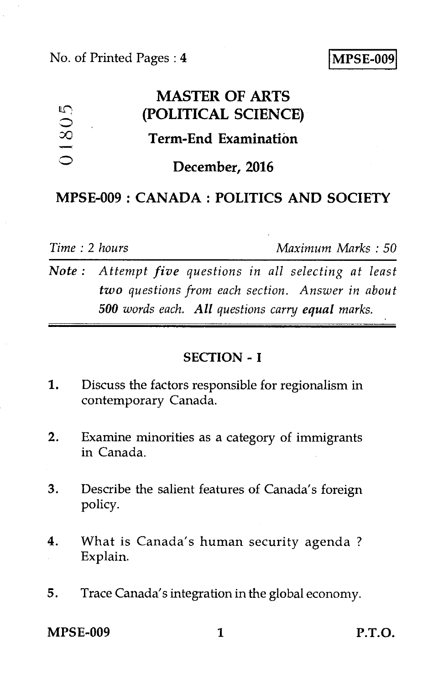## No. of Printed Pages : **4 MPSE-009**

# **MASTER OF ARTS**   $01805$ **(POLITICAL SCIENCE) Term-End Examination December, 2016**

# **MPSE-009 : CANADA : POLITICS AND SOCIETY**

*Time : 2 hours Maximum Marks : 50* 

*Note : Attempt five questions in all selecting at least two questions from each section. Answer in about 500 words each. All questions carry equal marks.* 

## **SECTION - I**

- 1. Discuss the factors responsible for regionalism in contemporary Canada.
- 2. Examine minorities as a category of immigrants in Canada.
- 3. Describe the salient features of Canada's foreign policy.
- 4. What is Canada's human security agenda ? Explain.
- 5. Trace Canada's integration in the global economy.

**MPSE-009 1 P.T.O.**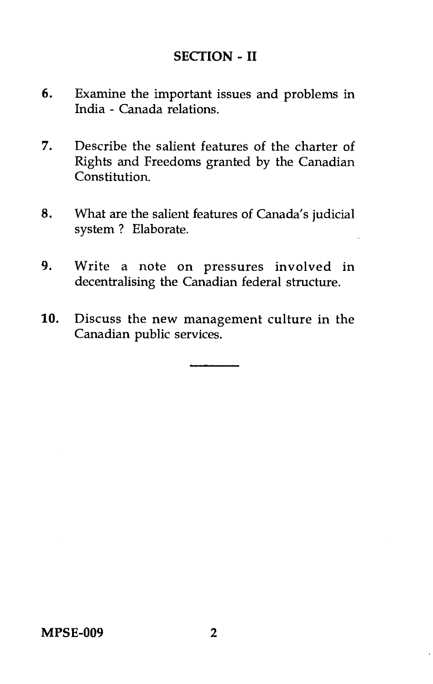# **SECTION - II**

- 6. Examine the important issues and problems in India - Canada relations.
- 7. Describe the salient features of the charter of Rights and Freedoms granted by the Canadian Constitution.
- 8. What are the salient features of Canada's judicial system ? Elaborate.
- 9. Write a note on pressures involved in decentralising the Canadian federal structure.
- 10. Discuss the new management culture in the Canadian public services.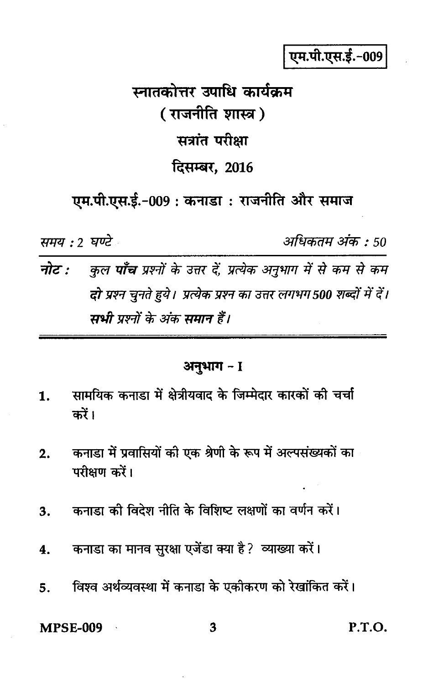एम.पी.एस.ई.-009

स्नातकोत्तर उपाधि कार्यकम (राजनीति शास्त्र) सत्रांत परीक्षा दिसम्बर, 2016

एम.पी.एस.ई.-009 : कनाडा : राजनीति और समाज

समय : २ घण्टे

अधिकतम अंक : 50

नोट : कुल **पाँच** प्रश्नों के उत्तर दें, प्रत्येक अनुभाग में से कम से कम दो प्रश्न चनते हये। प्रत्येक प्रश्न का उत्तर लगभग 500 शब्दों में दें। सभी पश्नों के अंक समान हैं।

## अनुभाग - I

- सामयिक कनाडा में क्षेत्रीयवाद के जिम्मेदार कारकों की चर्चा 1. करें।
- कनाडा में प्रवासियों की एक श्रेणी के रूप में अल्पसंख्यकों का  $2.$ परीक्षण करें।
- कनाड़ा की विदेश नीति के विशिष्ट लक्षणों का वर्णन करें।  $3.$
- कनाडा का मानव सुरक्षा एजेंडा क्या है ? व्याख्या करें।  $\overline{\mathbf{4}}$ .
- विश्व अर्थव्यवस्था में कनाडा के एकीकरण को रेखांकित करें। 5.

**MPSE-009** 

3

P.T.O.